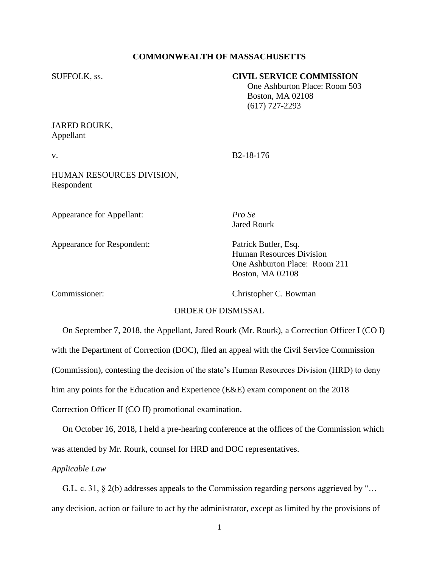# **COMMONWEALTH OF MASSACHUSETTS**

## SUFFOLK, ss. **CIVIL SERVICE COMMISSION**

 One Ashburton Place: Room 503 Boston, MA 02108 (617) 727-2293

# JARED ROURK, Appellant

v. B2-18-176

HUMAN RESOURCES DIVISION, Respondent

Appearance for Appellant: *Pro Se*

Appearance for Respondent: Patrick Butler, Esq.

Jared Rourk

Human Resources Division One Ashburton Place: Room 211 Boston, MA 02108

Commissioner: Christopher C. Bowman

#### ORDER OF DISMISSAL

 On September 7, 2018, the Appellant, Jared Rourk (Mr. Rourk), a Correction Officer I (CO I) with the Department of Correction (DOC), filed an appeal with the Civil Service Commission (Commission), contesting the decision of the state's Human Resources Division (HRD) to deny him any points for the Education and Experience (E&E) exam component on the 2018 Correction Officer II (CO II) promotional examination.

 On October 16, 2018, I held a pre-hearing conference at the offices of the Commission which was attended by Mr. Rourk, counsel for HRD and DOC representatives.

# *Applicable Law*

 G.L. c. 31, § 2(b) addresses appeals to the Commission regarding persons aggrieved by "… any decision, action or failure to act by the administrator, except as limited by the provisions of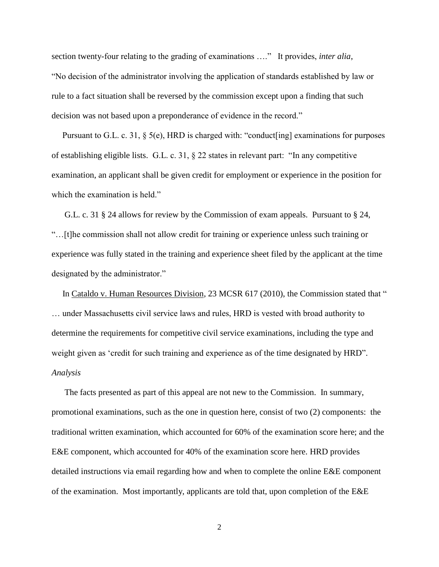section twenty-four relating to the grading of examinations …." It provides, *inter alia*, "No decision of the administrator involving the application of standards established by law or rule to a fact situation shall be reversed by the commission except upon a finding that such decision was not based upon a preponderance of evidence in the record."

Pursuant to G.L. c. 31, § 5(e), HRD is charged with: "conduct[ing] examinations for purposes of establishing eligible lists. G.L. c. 31, § 22 states in relevant part: "In any competitive examination, an applicant shall be given credit for employment or experience in the position for which the examination is held."

 G.L. c. 31 § 24 allows for review by the Commission of exam appeals. Pursuant to § 24, "…[t]he commission shall not allow credit for training or experience unless such training or experience was fully stated in the training and experience sheet filed by the applicant at the time designated by the administrator."

In Cataldo v. Human Resources Division, 23 MCSR 617 (2010), the Commission stated that " … under Massachusetts civil service laws and rules, HRD is vested with broad authority to determine the requirements for competitive civil service examinations, including the type and weight given as 'credit for such training and experience as of the time designated by HRD". *Analysis*

 The facts presented as part of this appeal are not new to the Commission. In summary, promotional examinations, such as the one in question here, consist of two (2) components: the traditional written examination, which accounted for 60% of the examination score here; and the E&E component, which accounted for 40% of the examination score here. HRD provides detailed instructions via email regarding how and when to complete the online E&E component of the examination. Most importantly, applicants are told that, upon completion of the E&E

2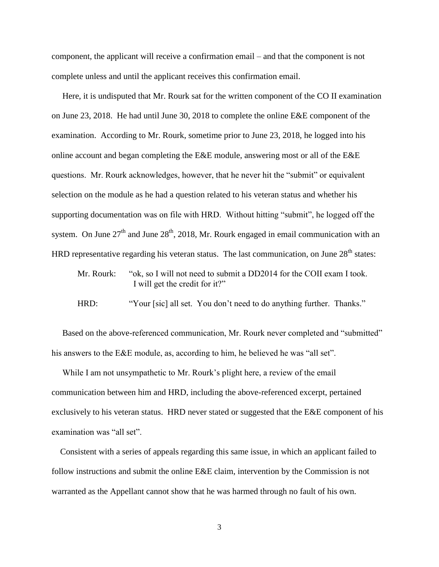component, the applicant will receive a confirmation email – and that the component is not complete unless and until the applicant receives this confirmation email.

 Here, it is undisputed that Mr. Rourk sat for the written component of the CO II examination on June 23, 2018. He had until June 30, 2018 to complete the online E&E component of the examination. According to Mr. Rourk, sometime prior to June 23, 2018, he logged into his online account and began completing the E&E module, answering most or all of the E&E questions. Mr. Rourk acknowledges, however, that he never hit the "submit" or equivalent selection on the module as he had a question related to his veteran status and whether his supporting documentation was on file with HRD. Without hitting "submit", he logged off the system. On June  $27<sup>th</sup>$  and June  $28<sup>th</sup>$ , 2018, Mr. Rourk engaged in email communication with an HRD representative regarding his veteran status. The last communication, on June  $28<sup>th</sup>$  states:

- Mr. Rourk: "ok, so I will not need to submit a DD2014 for the COII exam I took. I will get the credit for it?"
- HRD: "Your [sic] all set. You don't need to do anything further. Thanks."

 Based on the above-referenced communication, Mr. Rourk never completed and "submitted" his answers to the E&E module, as, according to him, he believed he was "all set".

 While I am not unsympathetic to Mr. Rourk's plight here, a review of the email communication between him and HRD, including the above-referenced excerpt, pertained exclusively to his veteran status. HRD never stated or suggested that the E&E component of his examination was "all set".

 Consistent with a series of appeals regarding this same issue, in which an applicant failed to follow instructions and submit the online E&E claim, intervention by the Commission is not warranted as the Appellant cannot show that he was harmed through no fault of his own.

3